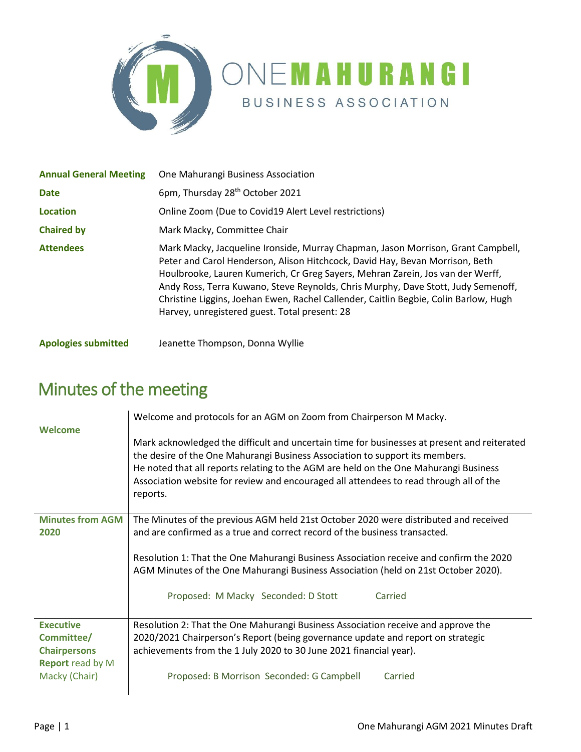

| <b>Annual General Meeting</b> | One Mahurangi Business Association                                                                                                                                                                                                                                                                                                                                                                                                                                               |  |
|-------------------------------|----------------------------------------------------------------------------------------------------------------------------------------------------------------------------------------------------------------------------------------------------------------------------------------------------------------------------------------------------------------------------------------------------------------------------------------------------------------------------------|--|
| <b>Date</b>                   | 6pm, Thursday 28 <sup>th</sup> October 2021                                                                                                                                                                                                                                                                                                                                                                                                                                      |  |
| <b>Location</b>               | Online Zoom (Due to Covid19 Alert Level restrictions)                                                                                                                                                                                                                                                                                                                                                                                                                            |  |
| <b>Chaired by</b>             | Mark Macky, Committee Chair                                                                                                                                                                                                                                                                                                                                                                                                                                                      |  |
| <b>Attendees</b>              | Mark Macky, Jacqueline Ironside, Murray Chapman, Jason Morrison, Grant Campbell,<br>Peter and Carol Henderson, Alison Hitchcock, David Hay, Bevan Morrison, Beth<br>Houlbrooke, Lauren Kumerich, Cr Greg Sayers, Mehran Zarein, Jos van der Werff,<br>Andy Ross, Terra Kuwano, Steve Reynolds, Chris Murphy, Dave Stott, Judy Semenoff,<br>Christine Liggins, Joehan Ewen, Rachel Callender, Caitlin Begbie, Colin Barlow, Hugh<br>Harvey, unregistered guest. Total present: 28 |  |

**Apologies submitted** Jeanette Thompson, Donna Wyllie

| Welcome                                  | Welcome and protocols for an AGM on Zoom from Chairperson M Macky.                                                                                                                                                                                                                                                                                                        |  |  |
|------------------------------------------|---------------------------------------------------------------------------------------------------------------------------------------------------------------------------------------------------------------------------------------------------------------------------------------------------------------------------------------------------------------------------|--|--|
|                                          | Mark acknowledged the difficult and uncertain time for businesses at present and reiterated<br>the desire of the One Mahurangi Business Association to support its members.<br>He noted that all reports relating to the AGM are held on the One Mahurangi Business<br>Association website for review and encouraged all attendees to read through all of the<br>reports. |  |  |
| <b>Minutes from AGM</b>                  | The Minutes of the previous AGM held 21st October 2020 were distributed and received<br>and are confirmed as a true and correct record of the business transacted.                                                                                                                                                                                                        |  |  |
| 2020                                     |                                                                                                                                                                                                                                                                                                                                                                           |  |  |
|                                          | Resolution 1: That the One Mahurangi Business Association receive and confirm the 2020<br>AGM Minutes of the One Mahurangi Business Association (held on 21st October 2020).                                                                                                                                                                                              |  |  |
|                                          | Proposed: M Macky Seconded: D Stott<br>Carried                                                                                                                                                                                                                                                                                                                            |  |  |
| <b>Executive</b>                         | Resolution 2: That the One Mahurangi Business Association receive and approve the                                                                                                                                                                                                                                                                                         |  |  |
| Committee/                               | 2020/2021 Chairperson's Report (being governance update and report on strategic                                                                                                                                                                                                                                                                                           |  |  |
| <b>Chairpersons</b>                      | achievements from the 1 July 2020 to 30 June 2021 financial year).                                                                                                                                                                                                                                                                                                        |  |  |
| <b>Report</b> read by M<br>Macky (Chair) | Proposed: B Morrison Seconded: G Campbell<br>Carried                                                                                                                                                                                                                                                                                                                      |  |  |

## Minutes of the meeting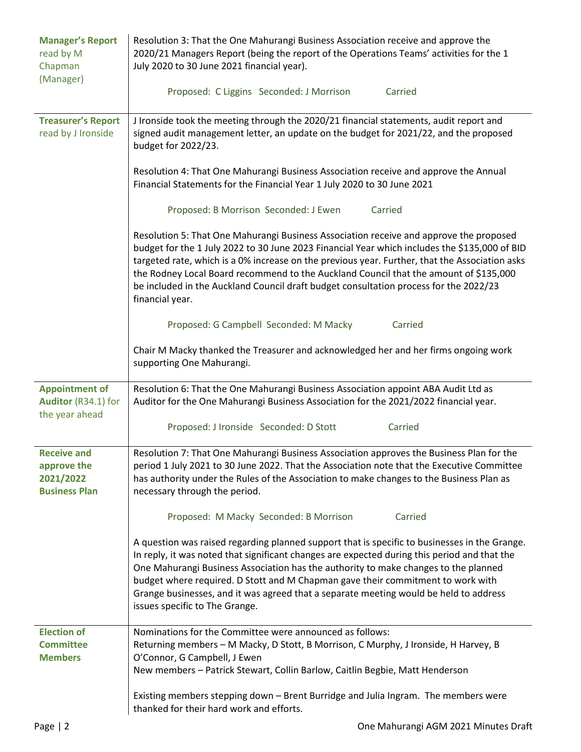| <b>Manager's Report</b><br>read by M<br>Chapman<br>(Manager)           | Resolution 3: That the One Mahurangi Business Association receive and approve the<br>2020/21 Managers Report (being the report of the Operations Teams' activities for the 1<br>July 2020 to 30 June 2021 financial year).                                                                                                                                                                                                                                                                         |  |  |
|------------------------------------------------------------------------|----------------------------------------------------------------------------------------------------------------------------------------------------------------------------------------------------------------------------------------------------------------------------------------------------------------------------------------------------------------------------------------------------------------------------------------------------------------------------------------------------|--|--|
|                                                                        | Proposed: C Liggins Seconded: J Morrison<br>Carried                                                                                                                                                                                                                                                                                                                                                                                                                                                |  |  |
| <b>Treasurer's Report</b><br>read by J Ironside                        | J Ironside took the meeting through the 2020/21 financial statements, audit report and<br>signed audit management letter, an update on the budget for 2021/22, and the proposed<br>budget for 2022/23.                                                                                                                                                                                                                                                                                             |  |  |
|                                                                        | Resolution 4: That One Mahurangi Business Association receive and approve the Annual<br>Financial Statements for the Financial Year 1 July 2020 to 30 June 2021                                                                                                                                                                                                                                                                                                                                    |  |  |
|                                                                        | Proposed: B Morrison Seconded: J Ewen<br>Carried                                                                                                                                                                                                                                                                                                                                                                                                                                                   |  |  |
|                                                                        | Resolution 5: That One Mahurangi Business Association receive and approve the proposed<br>budget for the 1 July 2022 to 30 June 2023 Financial Year which includes the \$135,000 of BID<br>targeted rate, which is a 0% increase on the previous year. Further, that the Association asks<br>the Rodney Local Board recommend to the Auckland Council that the amount of \$135,000<br>be included in the Auckland Council draft budget consultation process for the 2022/23<br>financial year.     |  |  |
|                                                                        | Proposed: G Campbell Seconded: M Macky<br>Carried                                                                                                                                                                                                                                                                                                                                                                                                                                                  |  |  |
|                                                                        | Chair M Macky thanked the Treasurer and acknowledged her and her firms ongoing work<br>supporting One Mahurangi.                                                                                                                                                                                                                                                                                                                                                                                   |  |  |
| <b>Appointment of</b><br>Auditor (R34.1) for<br>the year ahead         | Resolution 6: That the One Mahurangi Business Association appoint ABA Audit Ltd as<br>Auditor for the One Mahurangi Business Association for the 2021/2022 financial year.                                                                                                                                                                                                                                                                                                                         |  |  |
|                                                                        | Proposed: J Ironside Seconded: D Stott<br>Carried                                                                                                                                                                                                                                                                                                                                                                                                                                                  |  |  |
| <b>Receive and</b><br>approve the<br>2021/2022<br><b>Business Plan</b> | Resolution 7: That One Mahurangi Business Association approves the Business Plan for the<br>period 1 July 2021 to 30 June 2022. That the Association note that the Executive Committee<br>has authority under the Rules of the Association to make changes to the Business Plan as<br>necessary through the period.                                                                                                                                                                                |  |  |
|                                                                        | Proposed: M Macky Seconded: B Morrison<br>Carried                                                                                                                                                                                                                                                                                                                                                                                                                                                  |  |  |
|                                                                        | A question was raised regarding planned support that is specific to businesses in the Grange.<br>In reply, it was noted that significant changes are expected during this period and that the<br>One Mahurangi Business Association has the authority to make changes to the planned<br>budget where required. D Stott and M Chapman gave their commitment to work with<br>Grange businesses, and it was agreed that a separate meeting would be held to address<br>issues specific to The Grange. |  |  |
| <b>Election of</b><br><b>Committee</b><br><b>Members</b>               | Nominations for the Committee were announced as follows:<br>Returning members - M Macky, D Stott, B Morrison, C Murphy, J Ironside, H Harvey, B<br>O'Connor, G Campbell, J Ewen<br>New members - Patrick Stewart, Collin Barlow, Caitlin Begbie, Matt Henderson                                                                                                                                                                                                                                    |  |  |
|                                                                        | Existing members stepping down - Brent Burridge and Julia Ingram. The members were<br>thanked for their hard work and efforts.                                                                                                                                                                                                                                                                                                                                                                     |  |  |